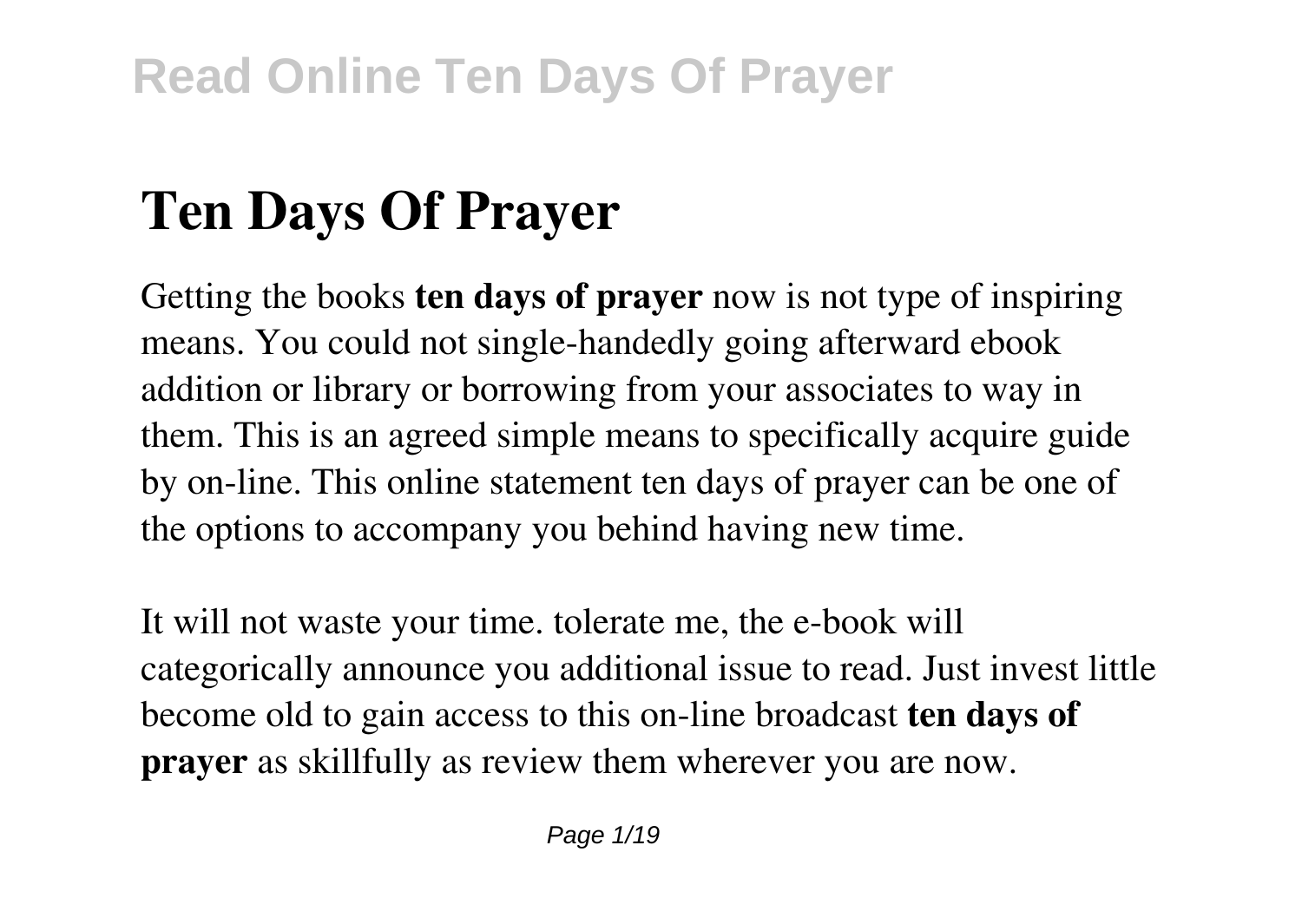# **Ten Days Of Prayer**

Getting the books **ten days of prayer** now is not type of inspiring means. You could not single-handedly going afterward ebook addition or library or borrowing from your associates to way in them. This is an agreed simple means to specifically acquire guide by on-line. This online statement ten days of prayer can be one of the options to accompany you behind having new time.

It will not waste your time. tolerate me, the e-book will categorically announce you additional issue to read. Just invest little become old to gain access to this on-line broadcast **ten days of prayer** as skillfully as review them wherever you are now.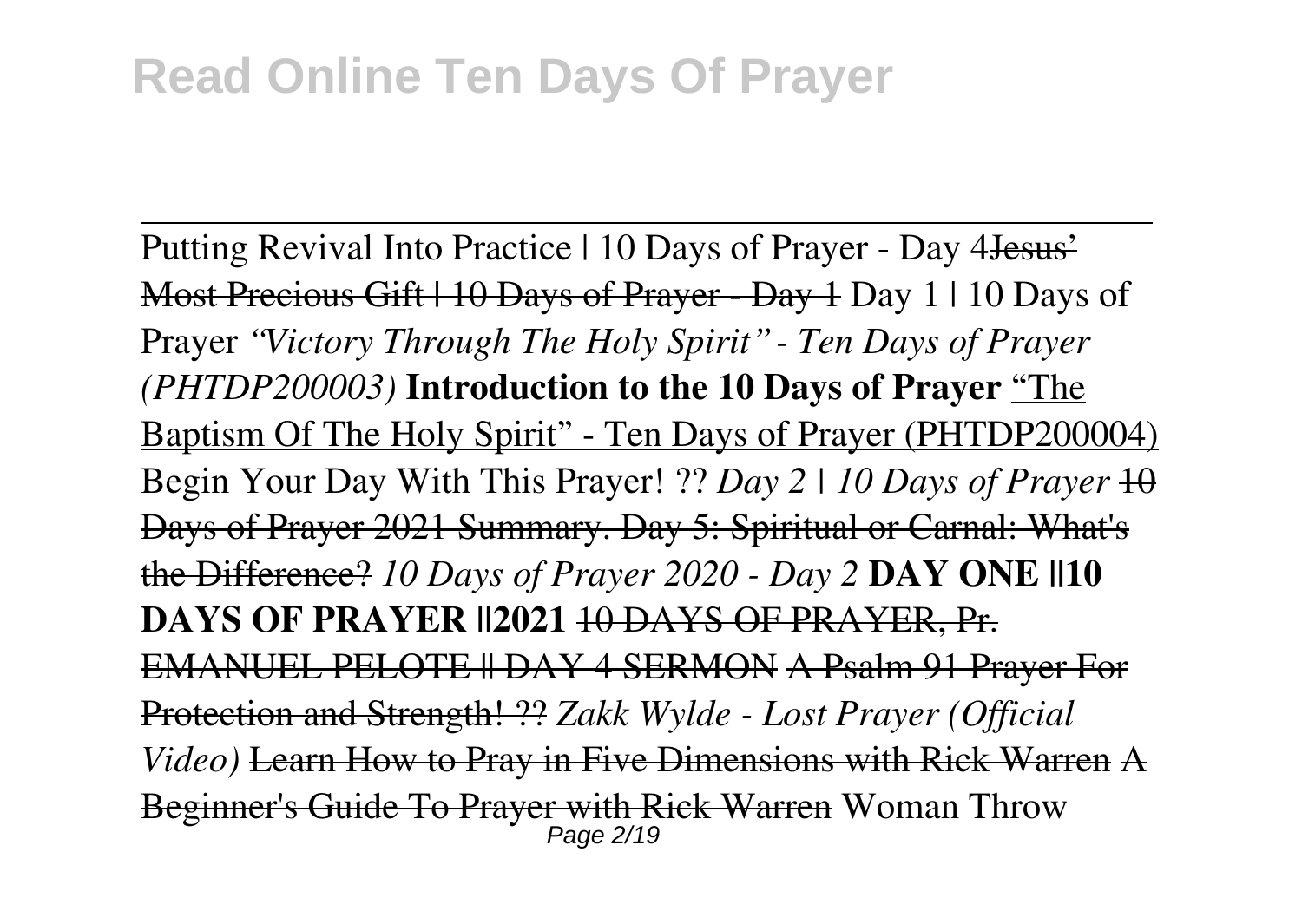Putting Revival Into Practice | 10 Days of Prayer - Day 4 Jesus' Most Precious Gift | 10 Days of Prayer - Day 1 Day 1 | 10 Days of Prayer *"Victory Through The Holy Spirit" - Ten Days of Prayer (PHTDP200003)* **Introduction to the 10 Days of Prayer** "The Baptism Of The Holy Spirit" - Ten Days of Prayer (PHTDP200004) Begin Your Day With This Prayer! ?? *Day 2 | 10 Days of Prayer* 10 Days of Prayer 2021 Summary. Day 5: Spiritual or Carnal: What's the Difference? *10 Days of Prayer 2020 - Day 2* **DAY ONE ||10 DAYS OF PRAYER ||2021** 10 DAYS OF PRAYER, Pr. EMANUEL PELOTE || DAY 4 SERMON A Psalm 91 Prayer For Protection and Strength! ?? *Zakk Wylde - Lost Prayer (Official Video)* Learn How to Pray in Five Dimensions with Rick Warren A Beginner's Guide To Prayer with Rick Warren Woman Throw Page 2/19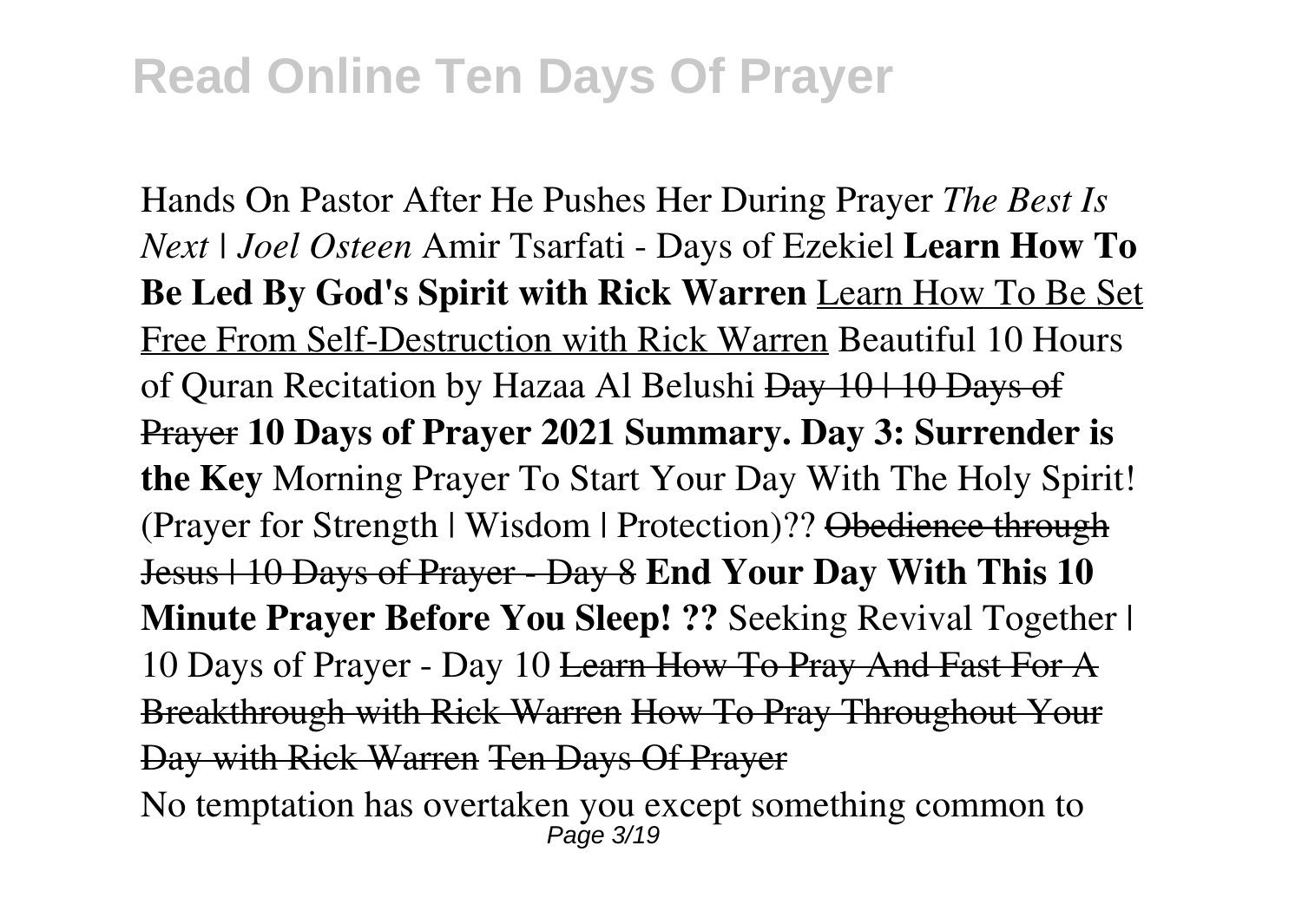Hands On Pastor After He Pushes Her During Prayer *The Best Is Next | Joel Osteen* Amir Tsarfati - Days of Ezekiel **Learn How To Be Led By God's Spirit with Rick Warren** Learn How To Be Set Free From Self-Destruction with Rick Warren Beautiful 10 Hours of Quran Recitation by Hazaa Al Belushi Day 10 | 10 Days of Prayer **10 Days of Prayer 2021 Summary. Day 3: Surrender is the Key** Morning Prayer To Start Your Day With The Holy Spirit! (Prayer for Strength | Wisdom | Protection)?? Obedience through Jesus | 10 Days of Prayer - Day 8 **End Your Day With This 10 Minute Prayer Before You Sleep! ??** Seeking Revival Together | 10 Days of Prayer - Day 10 Learn How To Pray And Fast For A Breakthrough with Rick Warren How To Pray Throughout Your Day with Rick Warren Ten Days Of Prayer No temptation has overtaken you except something common to

Page 3/19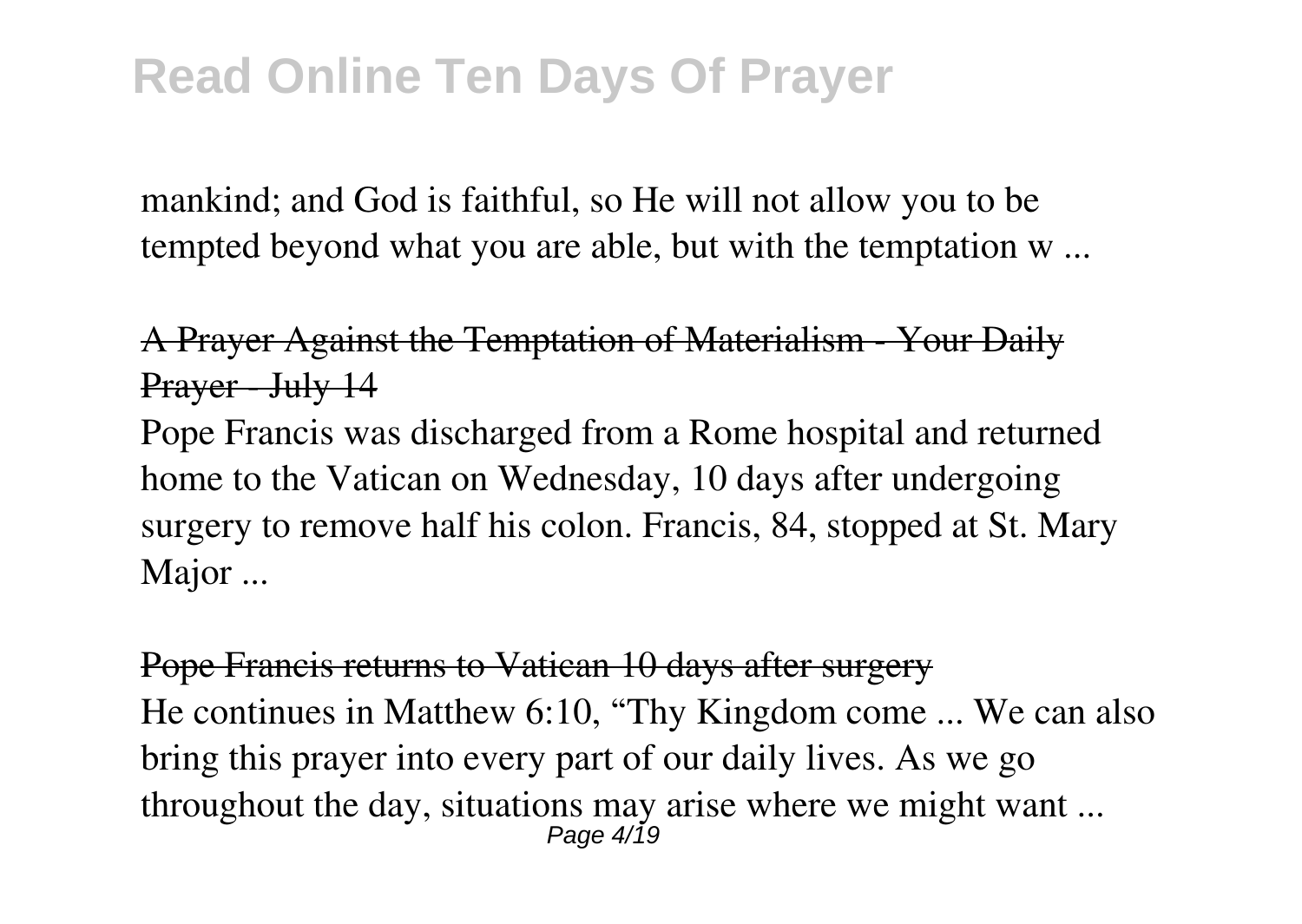mankind; and God is faithful, so He will not allow you to be tempted beyond what you are able, but with the temptation w ...

A Prayer Against the Temptation of Materialism - Your Daily Prayer - July 14

Pope Francis was discharged from a Rome hospital and returned home to the Vatican on Wednesday, 10 days after undergoing surgery to remove half his colon. Francis, 84, stopped at St. Mary Major ...

Pope Francis returns to Vatican 10 days after surgery He continues in Matthew 6:10, "Thy Kingdom come ... We can also bring this prayer into every part of our daily lives. As we go throughout the day, situations may arise where we might want ... Page 4/19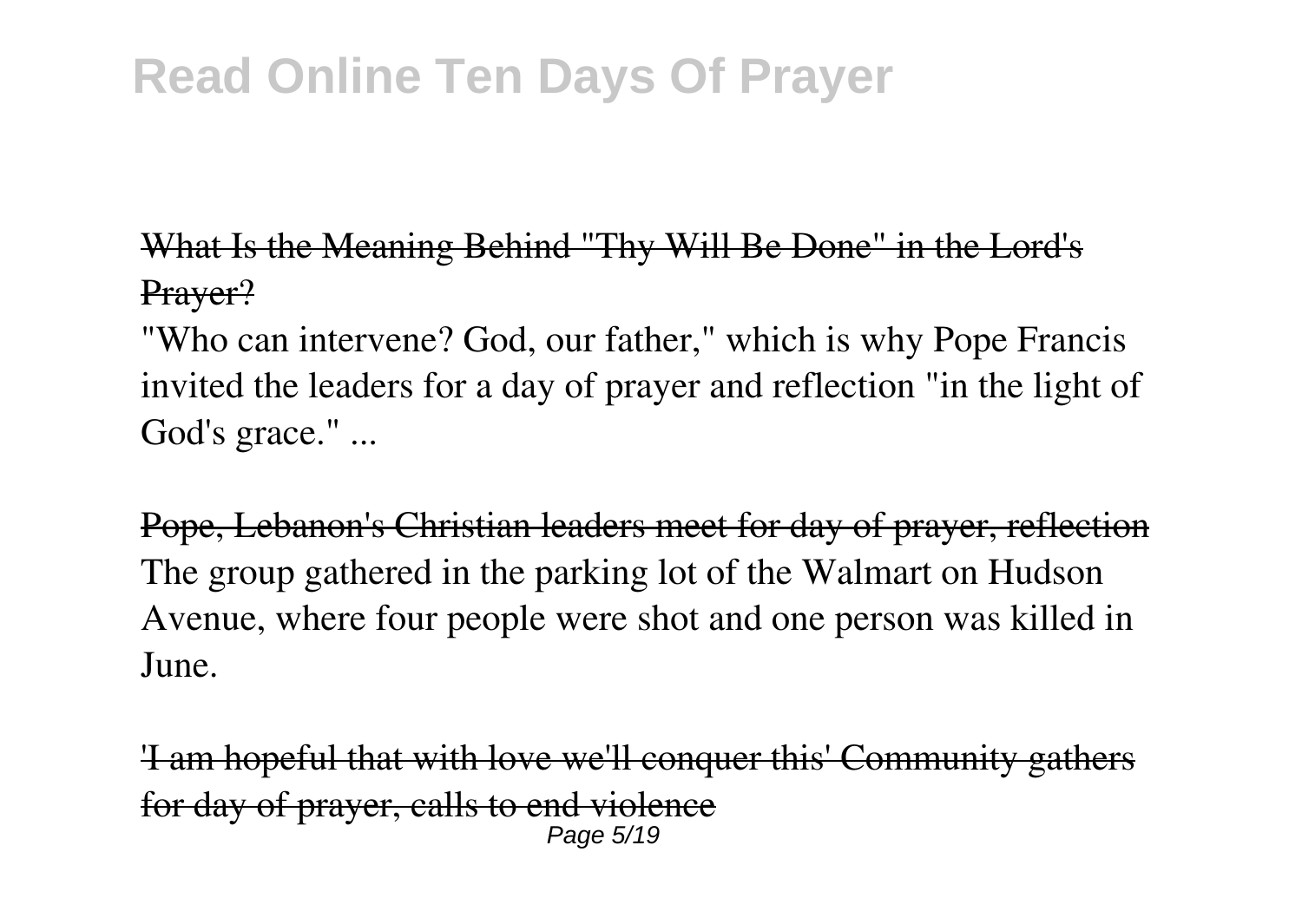What Is the Meaning Behind "Thy Will Be Done" in the Lord's Prayer?

"Who can intervene? God, our father," which is why Pope Francis invited the leaders for a day of prayer and reflection "in the light of God's grace." ...

Pope, Lebanon's Christian leaders meet for day of prayer, reflection The group gathered in the parking lot of the Walmart on Hudson Avenue, where four people were shot and one person was killed in June.

'I am hopeful that with love we'll conquer this' Community gathers for day of prayer, calls to end violence Page 5/19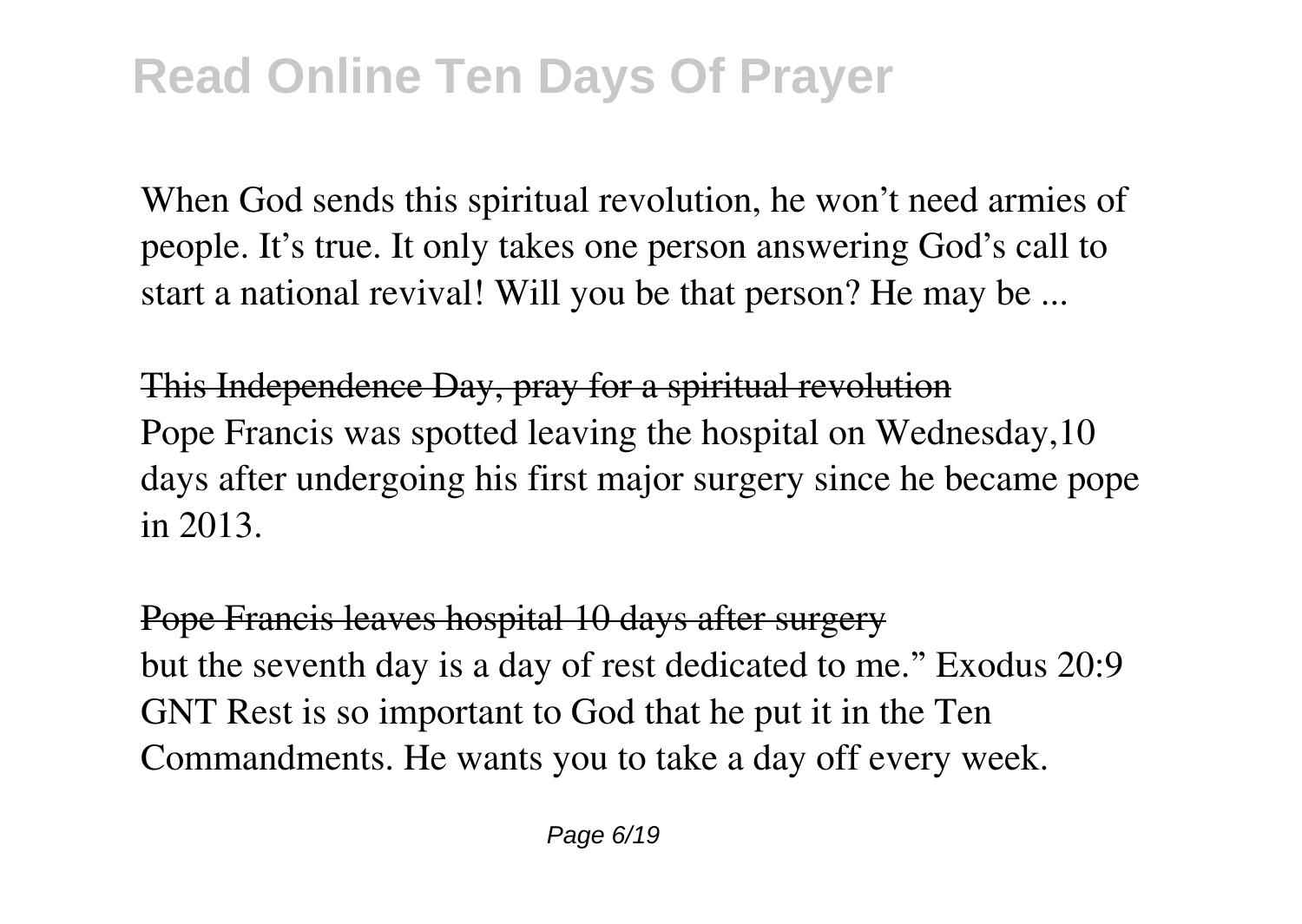When God sends this spiritual revolution, he won't need armies of people. It's true. It only takes one person answering God's call to start a national revival! Will you be that person? He may be ...

This Independence Day, pray for a spiritual revolution Pope Francis was spotted leaving the hospital on Wednesday,10 days after undergoing his first major surgery since he became pope in 2013.

Pope Francis leaves hospital 10 days after surgery but the seventh day is a day of rest dedicated to me." Exodus 20:9 GNT Rest is so important to God that he put it in the Ten Commandments. He wants you to take a day off every week.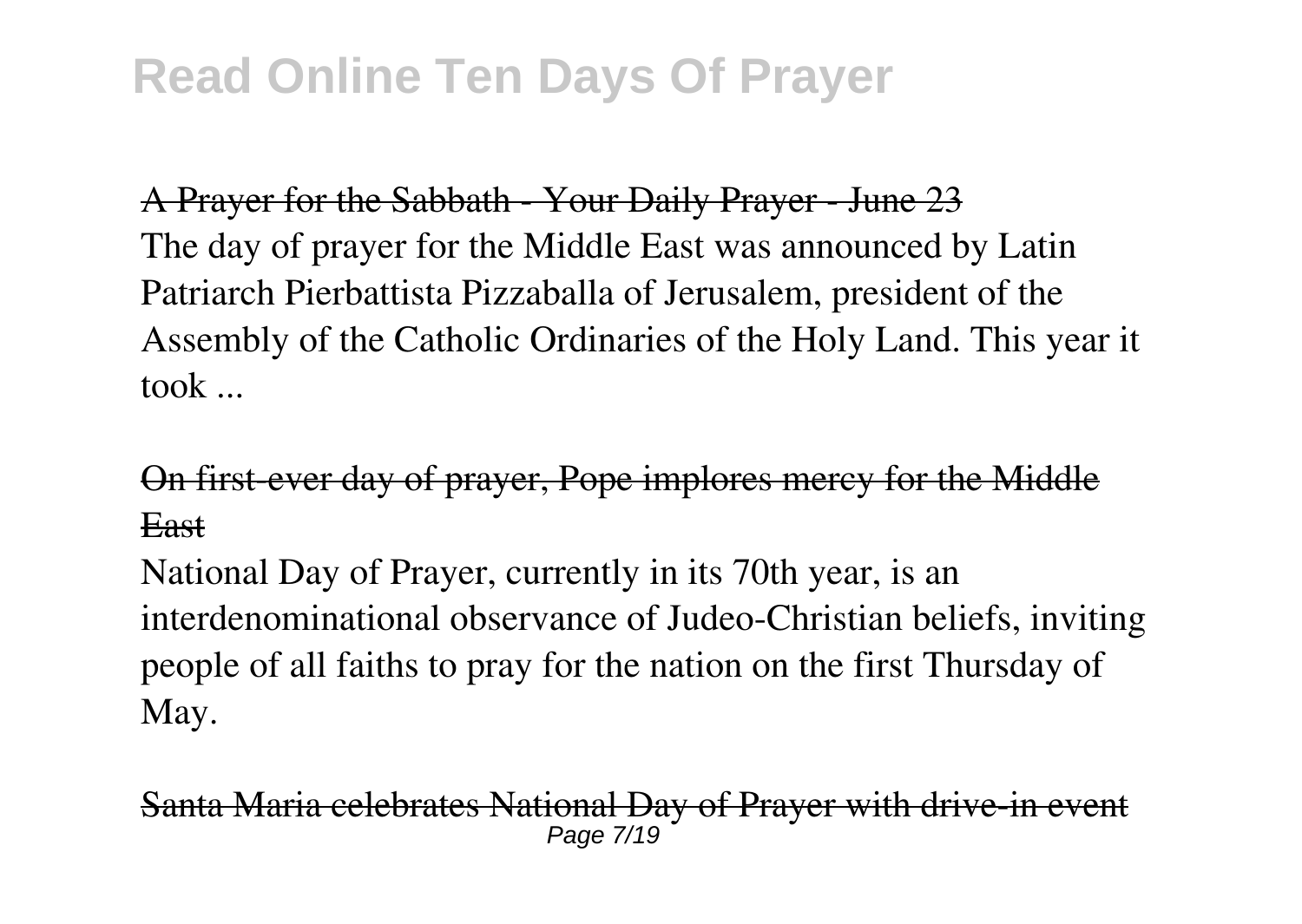A Prayer for the Sabbath - Your Daily Prayer - June 23 The day of prayer for the Middle East was announced by Latin Patriarch Pierbattista Pizzaballa of Jerusalem, president of the Assembly of the Catholic Ordinaries of the Holy Land. This year it took ...

On first-ever day of prayer, Pope implores mercy for the Middle East

National Day of Prayer, currently in its 70th year, is an interdenominational observance of Judeo-Christian beliefs, inviting people of all faiths to pray for the nation on the first Thursday of May.

Santa Maria celebrates National Day of Praver with drive-in Page 7/19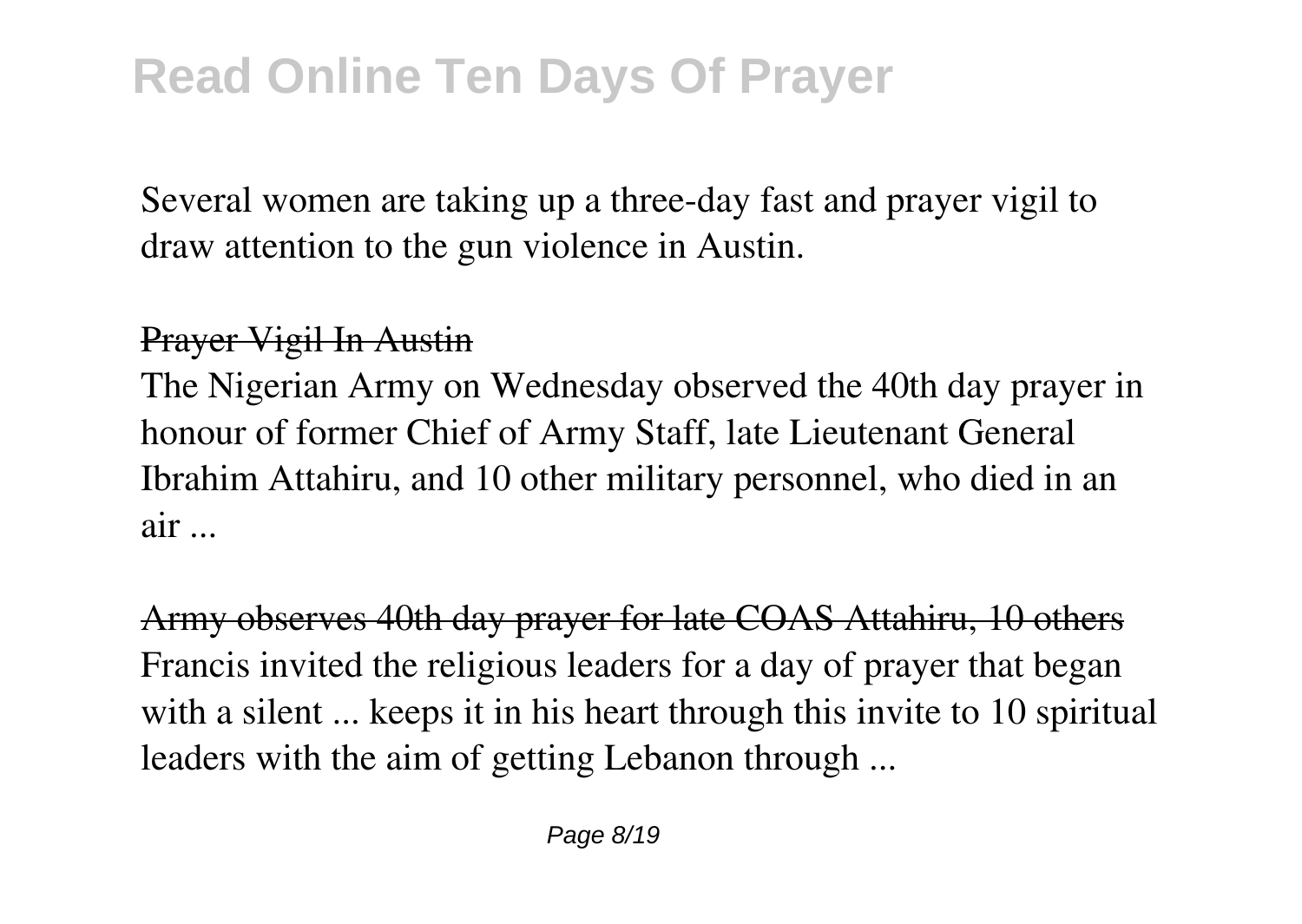Several women are taking up a three-day fast and prayer vigil to draw attention to the gun violence in Austin.

#### Prayer Vigil In Austin

The Nigerian Army on Wednesday observed the 40th day prayer in honour of former Chief of Army Staff, late Lieutenant General Ibrahim Attahiru, and 10 other military personnel, who died in an air ...

Army observes 40th day prayer for late COAS Attahiru, 10 others Francis invited the religious leaders for a day of prayer that began with a silent ... keeps it in his heart through this invite to 10 spiritual leaders with the aim of getting Lebanon through ...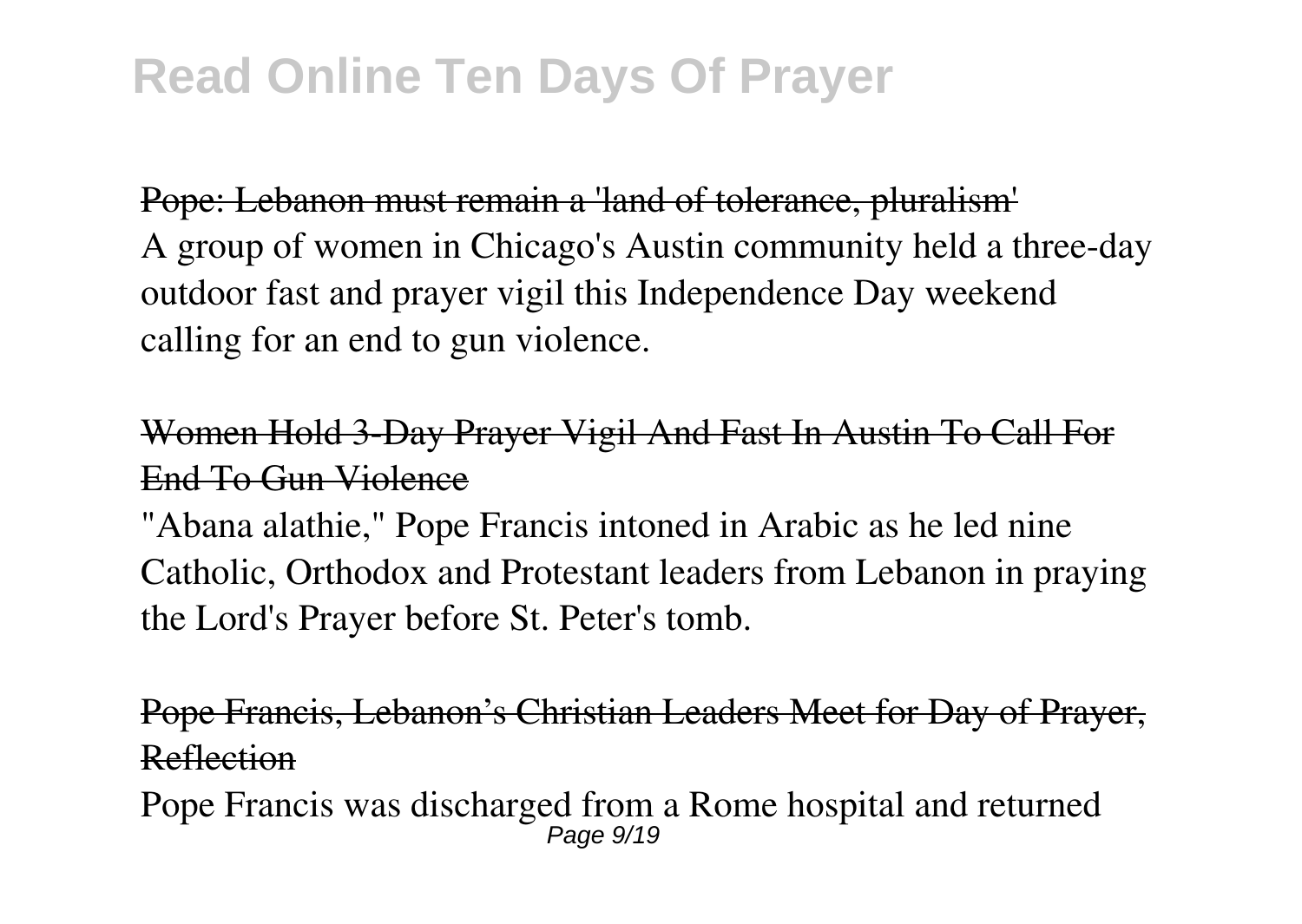Pope: Lebanon must remain a 'land of tolerance, pluralism' A group of women in Chicago's Austin community held a three-day outdoor fast and prayer vigil this Independence Day weekend calling for an end to gun violence.

Women Hold 3-Day Prayer Vigil And Fast In Austin To Call For End To Gun Violence

"Abana alathie," Pope Francis intoned in Arabic as he led nine Catholic, Orthodox and Protestant leaders from Lebanon in praying the Lord's Prayer before St. Peter's tomb.

Pope Francis, Lebanon's Christian Leaders Meet for Day of Prayer, Reflection

Pope Francis was discharged from a Rome hospital and returned Page  $9/19$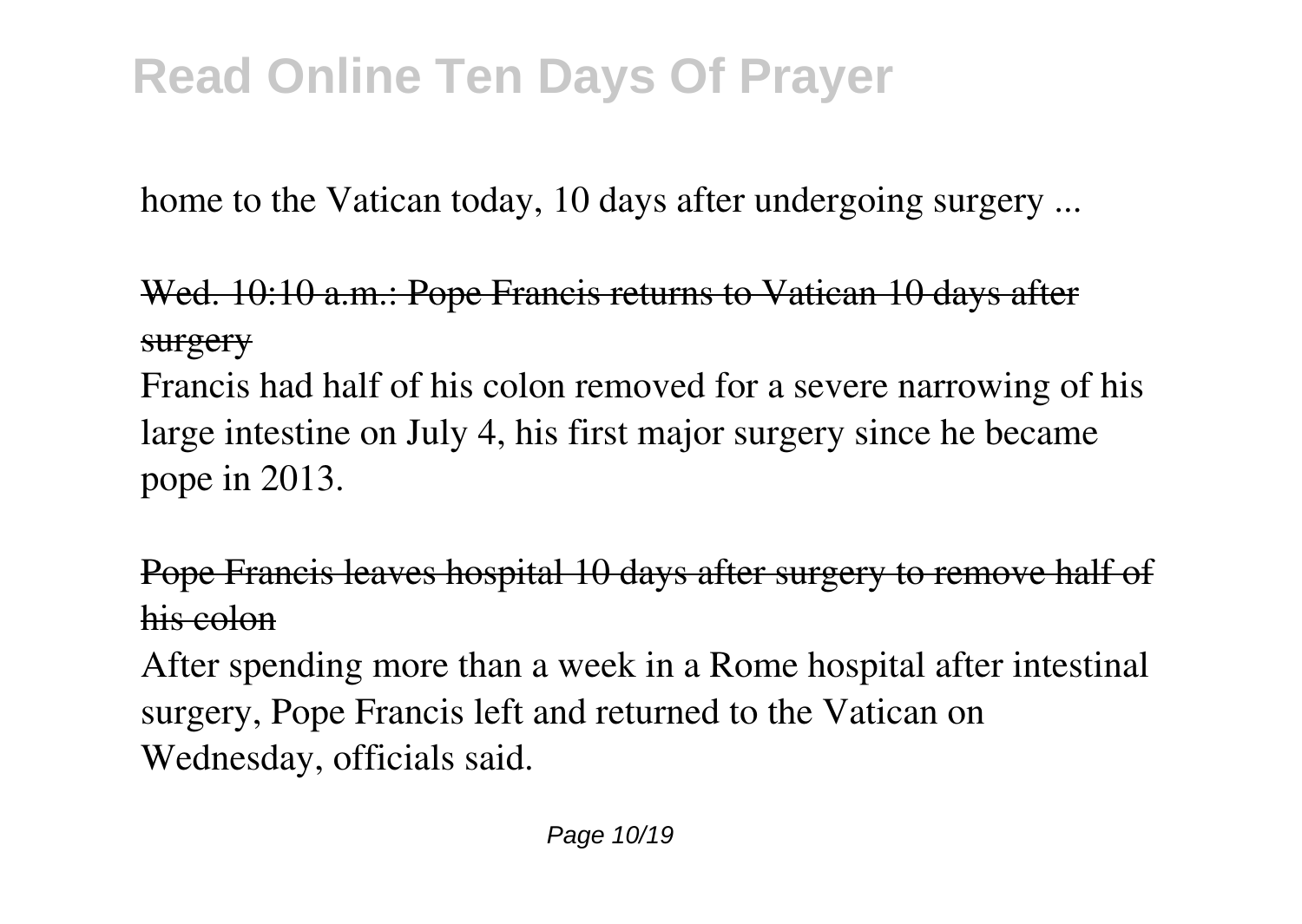home to the Vatican today, 10 days after undergoing surgery ...

### Wed. 10:10 a.m.: Pope Francis returns to Vatican 10 days after surgery

Francis had half of his colon removed for a severe narrowing of his large intestine on July 4, his first major surgery since he became pope in 2013.

#### Pope Francis leaves hospital 10 days after surgery to remove half of his colon

After spending more than a week in a Rome hospital after intestinal surgery, Pope Francis left and returned to the Vatican on Wednesday, officials said.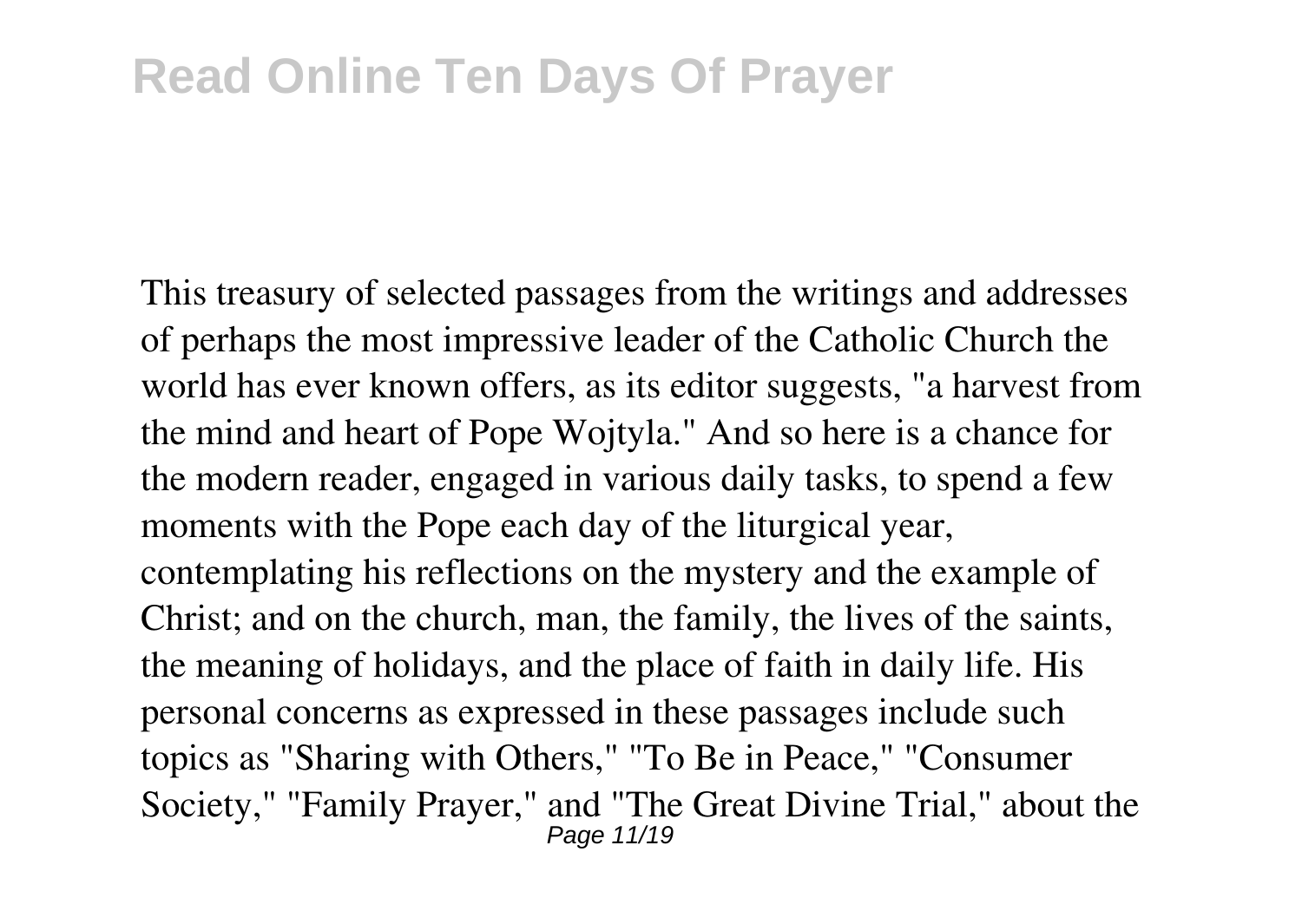This treasury of selected passages from the writings and addresses of perhaps the most impressive leader of the Catholic Church the world has ever known offers, as its editor suggests, "a harvest from the mind and heart of Pope Wojtyla." And so here is a chance for the modern reader, engaged in various daily tasks, to spend a few moments with the Pope each day of the liturgical year, contemplating his reflections on the mystery and the example of Christ; and on the church, man, the family, the lives of the saints, the meaning of holidays, and the place of faith in daily life. His personal concerns as expressed in these passages include such topics as "Sharing with Others," "To Be in Peace," "Consumer Society," "Family Prayer," and "The Great Divine Trial," about the Page 11/19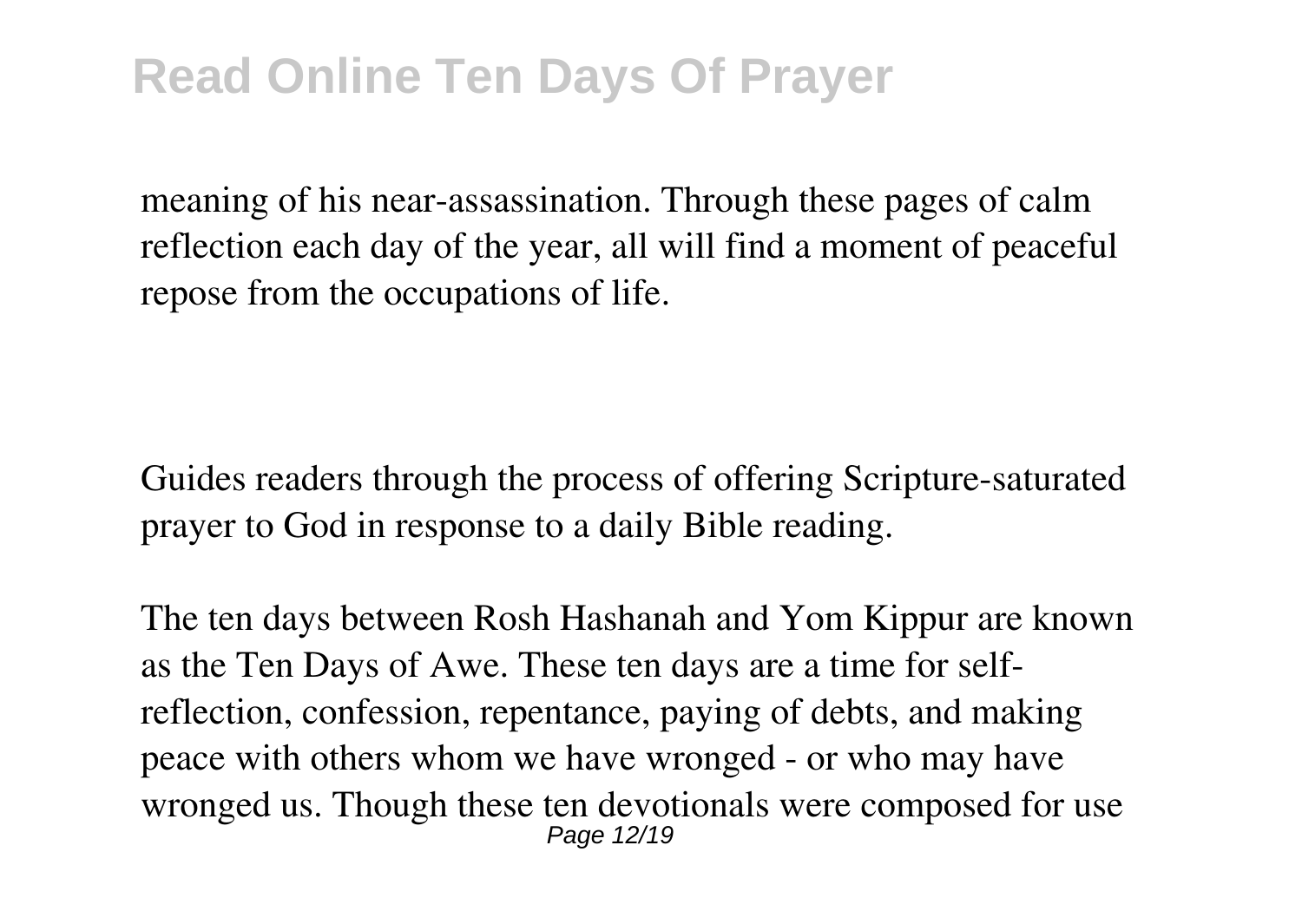meaning of his near-assassination. Through these pages of calm reflection each day of the year, all will find a moment of peaceful repose from the occupations of life.

Guides readers through the process of offering Scripture-saturated prayer to God in response to a daily Bible reading.

The ten days between Rosh Hashanah and Yom Kippur are known as the Ten Days of Awe. These ten days are a time for selfreflection, confession, repentance, paying of debts, and making peace with others whom we have wronged - or who may have wronged us. Though these ten devotionals were composed for use Page 12/19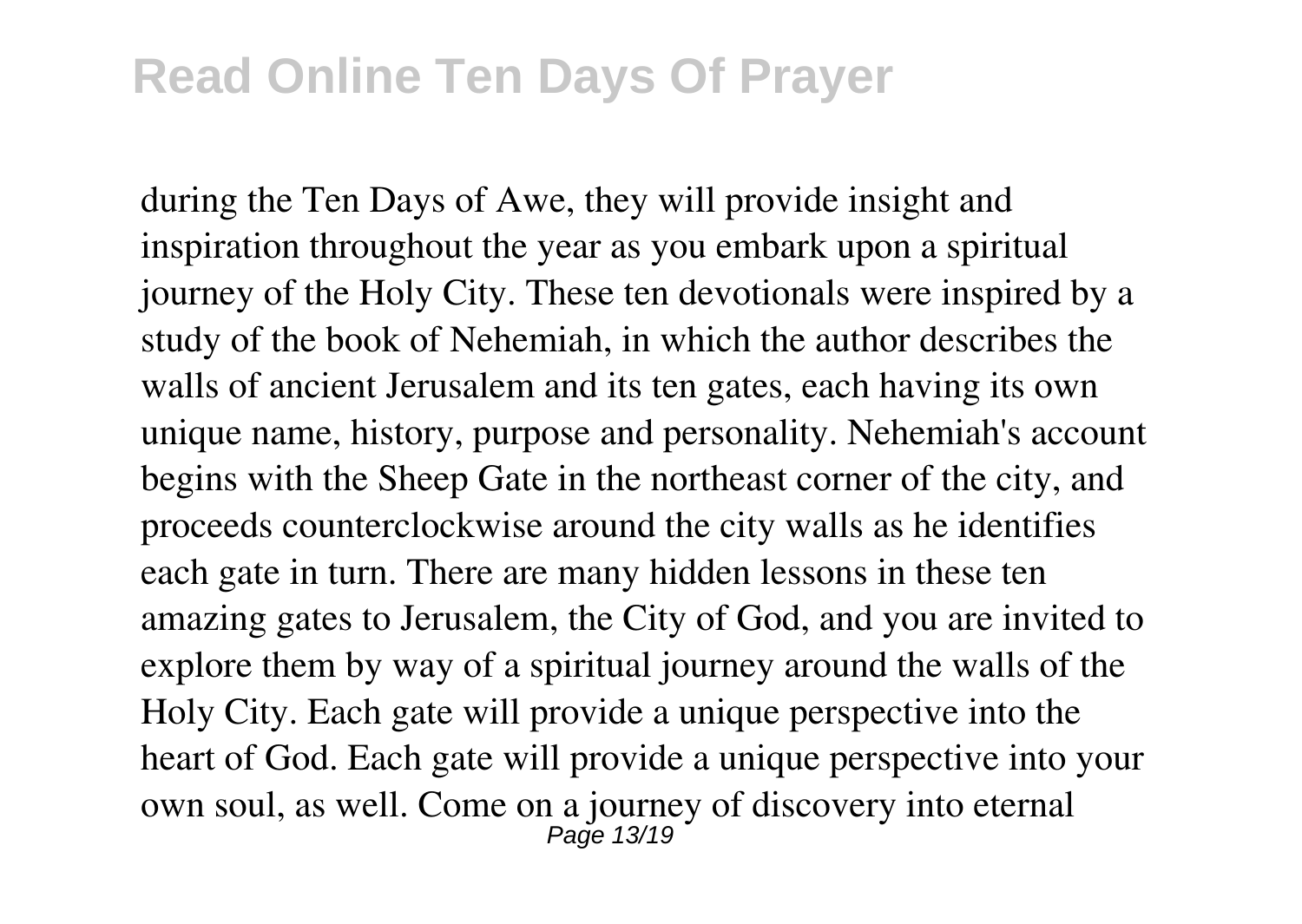during the Ten Days of Awe, they will provide insight and inspiration throughout the year as you embark upon a spiritual journey of the Holy City. These ten devotionals were inspired by a study of the book of Nehemiah, in which the author describes the walls of ancient Jerusalem and its ten gates, each having its own unique name, history, purpose and personality. Nehemiah's account begins with the Sheep Gate in the northeast corner of the city, and proceeds counterclockwise around the city walls as he identifies each gate in turn. There are many hidden lessons in these ten amazing gates to Jerusalem, the City of God, and you are invited to explore them by way of a spiritual journey around the walls of the Holy City. Each gate will provide a unique perspective into the heart of God. Each gate will provide a unique perspective into your own soul, as well. Come on a journey of discovery into eternal Page 13/19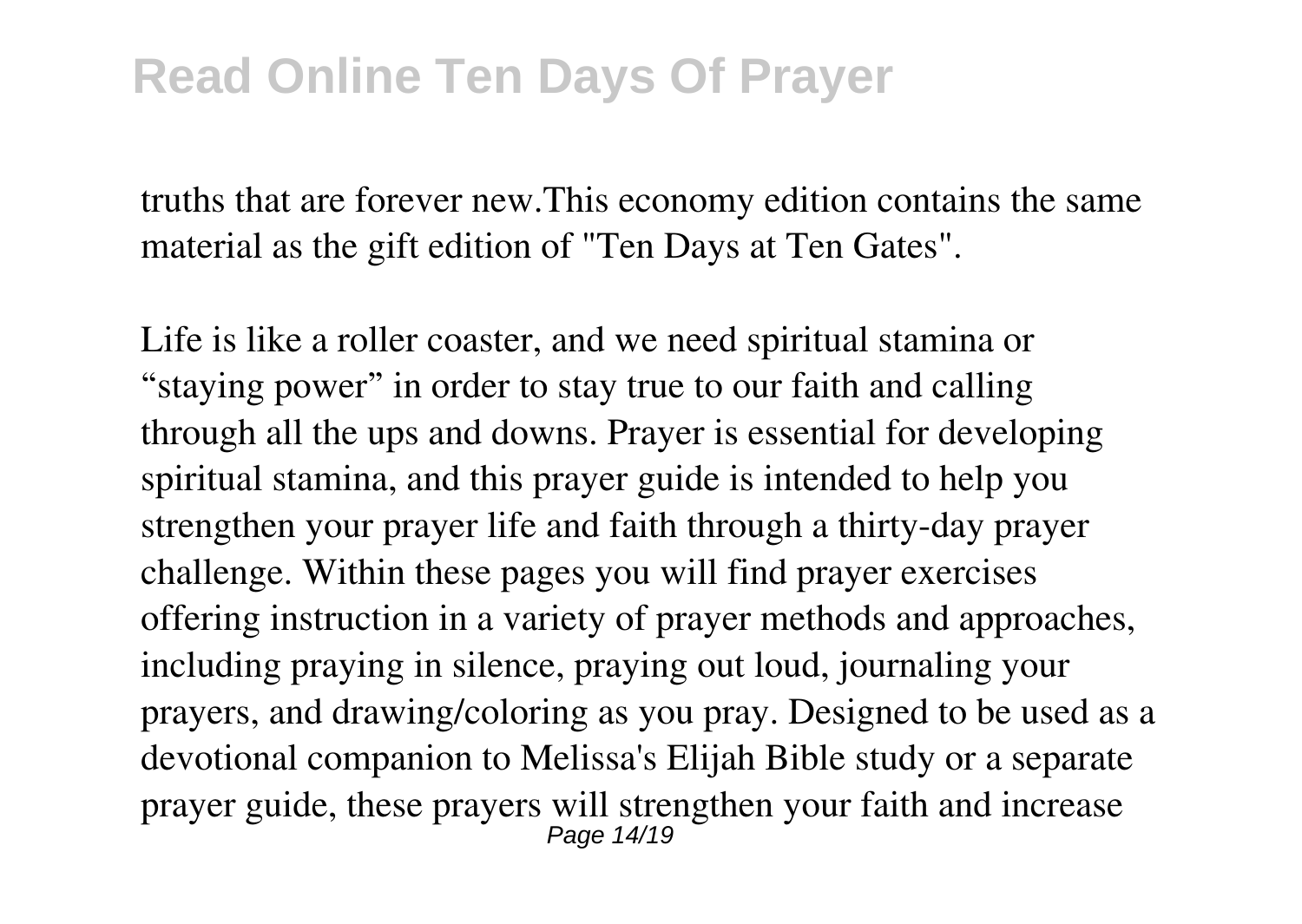truths that are forever new.This economy edition contains the same material as the gift edition of "Ten Days at Ten Gates".

Life is like a roller coaster, and we need spiritual stamina or "staying power" in order to stay true to our faith and calling through all the ups and downs. Prayer is essential for developing spiritual stamina, and this prayer guide is intended to help you strengthen your prayer life and faith through a thirty-day prayer challenge. Within these pages you will find prayer exercises offering instruction in a variety of prayer methods and approaches, including praying in silence, praying out loud, journaling your prayers, and drawing/coloring as you pray. Designed to be used as a devotional companion to Melissa's Elijah Bible study or a separate prayer guide, these prayers will strengthen your faith and increase Page 14/19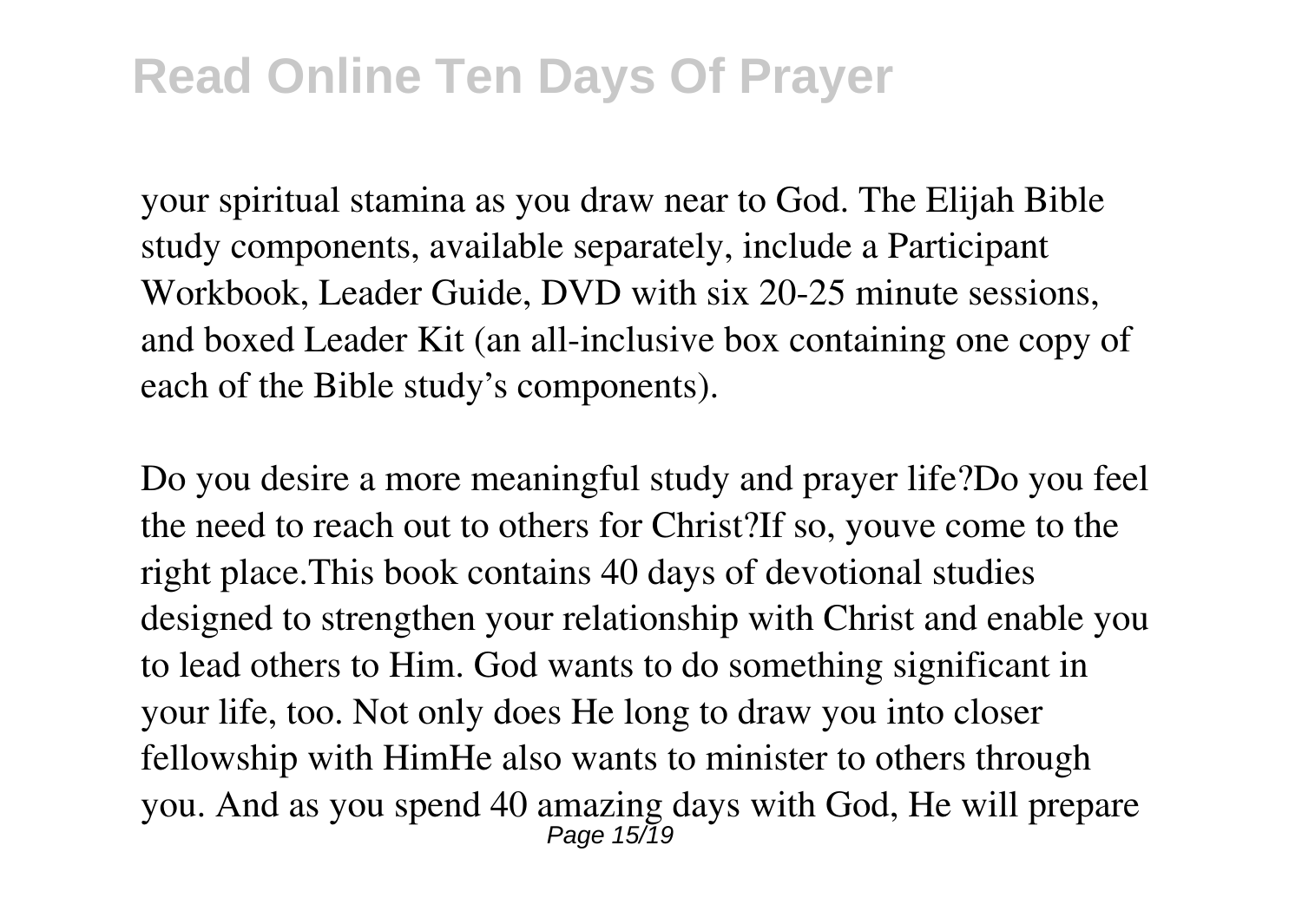your spiritual stamina as you draw near to God. The Elijah Bible study components, available separately, include a Participant Workbook, Leader Guide, DVD with six 20-25 minute sessions, and boxed Leader Kit (an all-inclusive box containing one copy of each of the Bible study's components).

Do you desire a more meaningful study and prayer life?Do you feel the need to reach out to others for Christ?If so, youve come to the right place.This book contains 40 days of devotional studies designed to strengthen your relationship with Christ and enable you to lead others to Him. God wants to do something significant in your life, too. Not only does He long to draw you into closer fellowship with HimHe also wants to minister to others through you. And as you spend 40 amazing days with God, He will prepare  $P$ age 15/19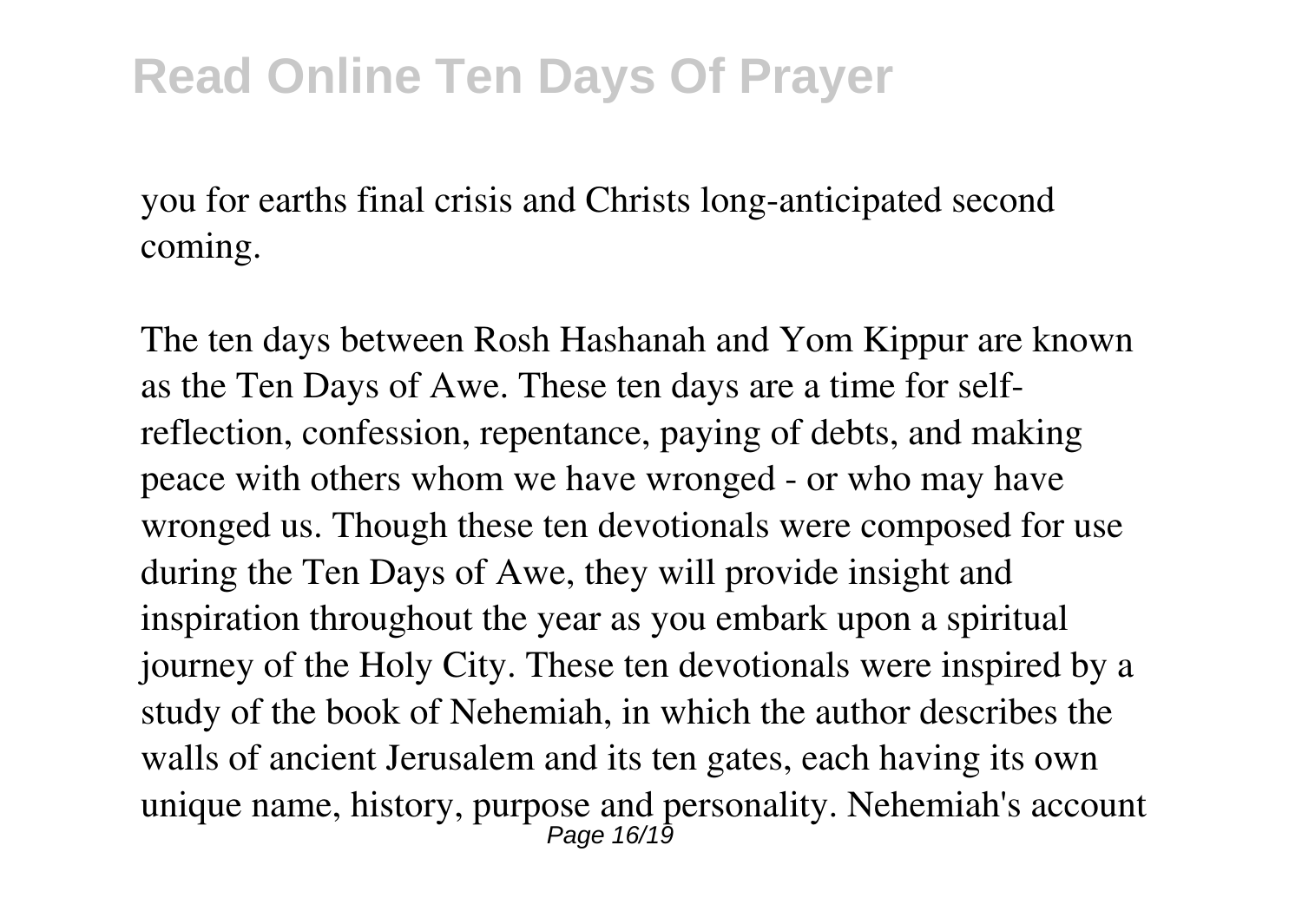you for earths final crisis and Christs long-anticipated second coming.

The ten days between Rosh Hashanah and Yom Kippur are known as the Ten Days of Awe. These ten days are a time for selfreflection, confession, repentance, paying of debts, and making peace with others whom we have wronged - or who may have wronged us. Though these ten devotionals were composed for use during the Ten Days of Awe, they will provide insight and inspiration throughout the year as you embark upon a spiritual journey of the Holy City. These ten devotionals were inspired by a study of the book of Nehemiah, in which the author describes the walls of ancient Jerusalem and its ten gates, each having its own unique name, history, purpose and personality. Nehemiah's account Page 16/19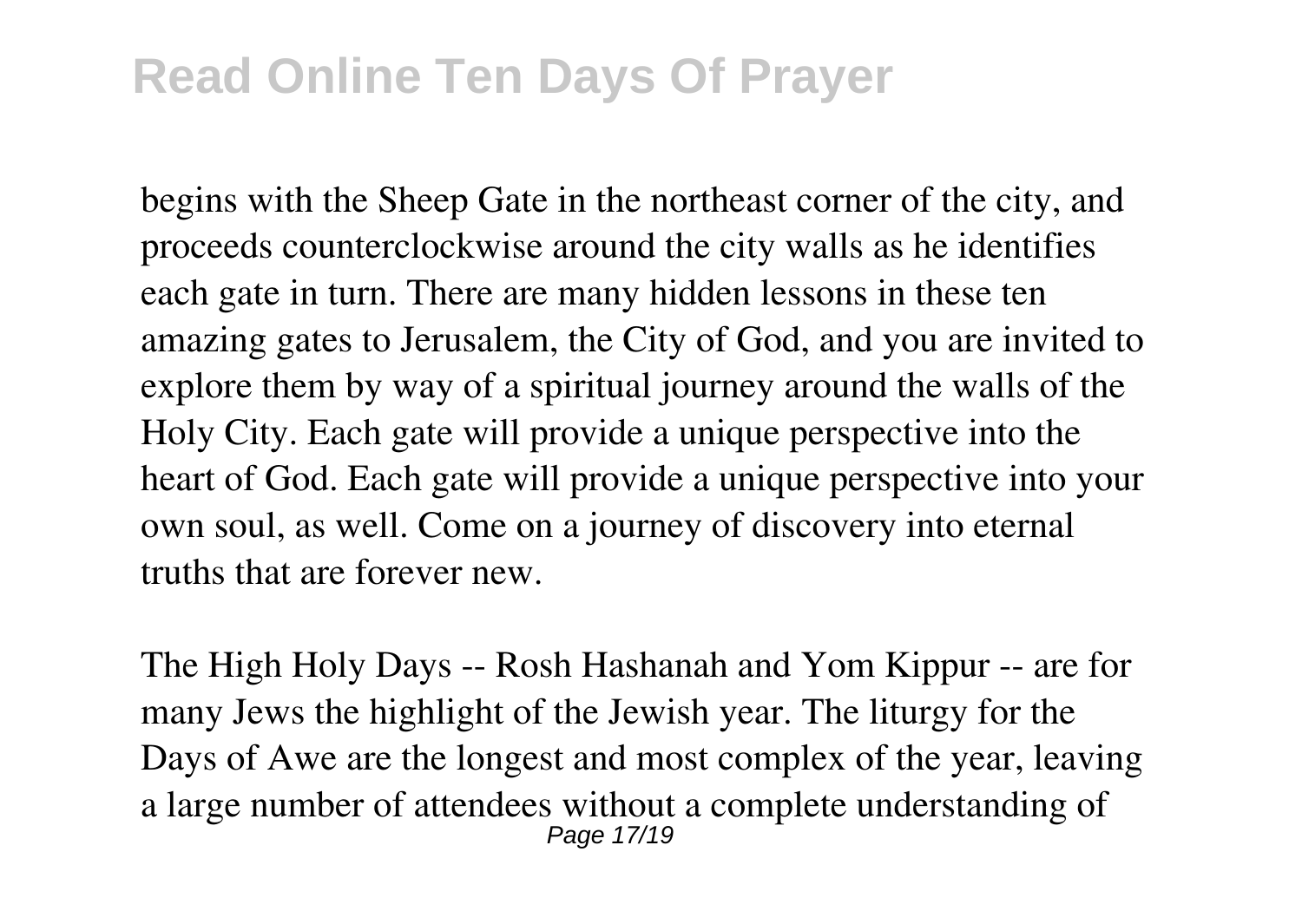begins with the Sheep Gate in the northeast corner of the city, and proceeds counterclockwise around the city walls as he identifies each gate in turn. There are many hidden lessons in these ten amazing gates to Jerusalem, the City of God, and you are invited to explore them by way of a spiritual journey around the walls of the Holy City. Each gate will provide a unique perspective into the heart of God. Each gate will provide a unique perspective into your own soul, as well. Come on a journey of discovery into eternal truths that are forever new.

The High Holy Days -- Rosh Hashanah and Yom Kippur -- are for many Jews the highlight of the Jewish year. The liturgy for the Days of Awe are the longest and most complex of the year, leaving a large number of attendees without a complete understanding of Page 17/19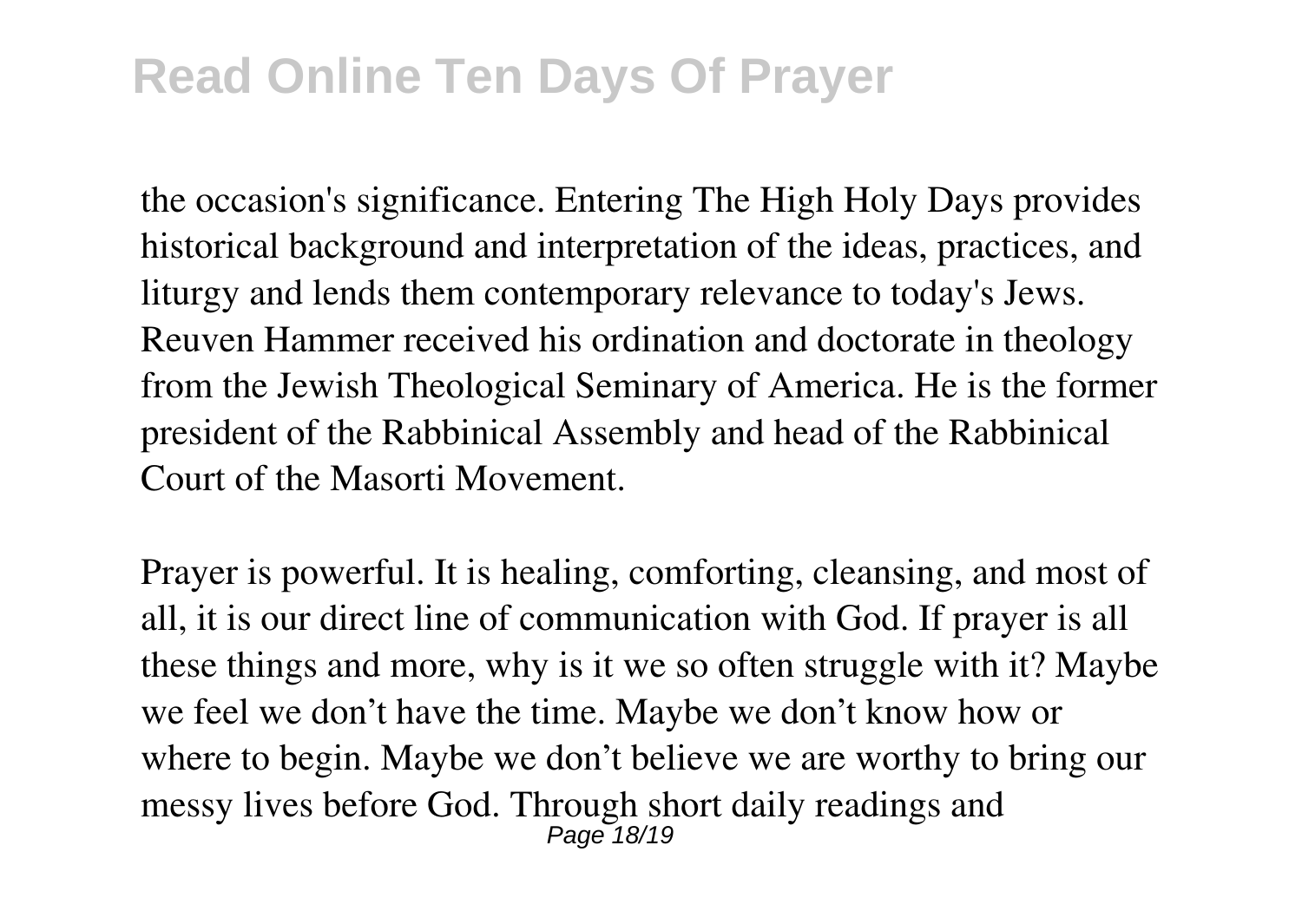the occasion's significance. Entering The High Holy Days provides historical background and interpretation of the ideas, practices, and liturgy and lends them contemporary relevance to today's Jews. Reuven Hammer received his ordination and doctorate in theology from the Jewish Theological Seminary of America. He is the former president of the Rabbinical Assembly and head of the Rabbinical Court of the Masorti Movement.

Prayer is powerful. It is healing, comforting, cleansing, and most of all, it is our direct line of communication with God. If prayer is all these things and more, why is it we so often struggle with it? Maybe we feel we don't have the time. Maybe we don't know how or where to begin. Maybe we don't believe we are worthy to bring our messy lives before God. Through short daily readings and Page 18/19